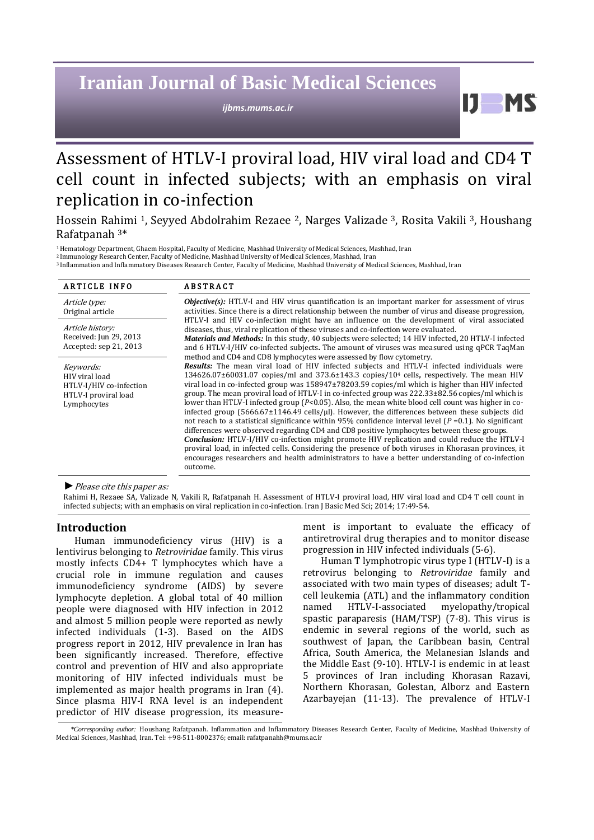# **Iranian Journal of Basic Medical Sciences**

*ijbms.mums.ac.ir*

11 **MS** 

## Assessment of HTLV-I proviral load, HIV viral load and CD4 T cell count in infected subjects; with an emphasis on viral replication in co-infection

Hossein Rahimi 1, Seyyed Abdolrahim Rezaee 2, Narges Valizade 3, Rosita Vakili 3, Houshang Rafatpanah <sup>3</sup>\*

<sup>1</sup>Hematology Department, Ghaem Hospital, Faculty of Medicine, Mashhad University of Medical Sciences, Mashhad, Iran

<sup>2</sup> Immunology Research Center, Faculty of Medicine, Mashhad University of Medical Sciences, Mashhad, Iran <sup>3</sup> Inflammation and Inflammatory Diseases Research Center, Faculty of Medicine, Mashhad University of Medical Sciences, Mashhad, Iran

| <b>ARTICLE INFO</b>                                                                           | <b>ABSTRACT</b>                                                                                                                                                                                                                                                                                                                                                                                                                                                                                                                                                                                                                                                                                                                                                                                                                                                                                                                                                                                                                                                                                                                                                                                                                                             |  |
|-----------------------------------------------------------------------------------------------|-------------------------------------------------------------------------------------------------------------------------------------------------------------------------------------------------------------------------------------------------------------------------------------------------------------------------------------------------------------------------------------------------------------------------------------------------------------------------------------------------------------------------------------------------------------------------------------------------------------------------------------------------------------------------------------------------------------------------------------------------------------------------------------------------------------------------------------------------------------------------------------------------------------------------------------------------------------------------------------------------------------------------------------------------------------------------------------------------------------------------------------------------------------------------------------------------------------------------------------------------------------|--|
| Article type:<br>Original article                                                             | <b><i>Objective(s)</i></b> : HTLV-I and HIV virus quantification is an important marker for assessment of virus<br>activities. Since there is a direct relationship between the number of virus and disease progression,<br>HTLV-I and HIV co-infection might have an influence on the development of viral associated<br>diseases, thus, viral replication of these viruses and co-infection were evaluated.<br>Materials and Methods: In this study, 40 subjects were selected; 14 HIV infected, 20 HTLV-I infected<br>and 6 HTLV-I/HIV co-infected subjects. The amount of viruses was measured using qPCR TaqMan                                                                                                                                                                                                                                                                                                                                                                                                                                                                                                                                                                                                                                        |  |
| Article history:<br>Received: Jun 29, 2013<br>Accepted: sep 21, 2013                          |                                                                                                                                                                                                                                                                                                                                                                                                                                                                                                                                                                                                                                                                                                                                                                                                                                                                                                                                                                                                                                                                                                                                                                                                                                                             |  |
| Keywords:<br>HIV viral load<br>HTLV-I/HIV co-infection<br>HTLV-I proviral load<br>Lymphocytes | method and CD4 and CD8 lymphocytes were assessed by flow cytometry.<br>Results: The mean viral load of HIV infected subjects and HTLV-I infected individuals were<br>$134626.07\pm60031.07$ copies/ml and 373.6 $\pm143.3$ copies/10 <sup>4</sup> cells, respectively. The mean HIV<br>viral load in co-infected group was 158947±78203.59 copies/ml which is higher than HIV infected<br>group. The mean proviral load of HTLV-I in co-infected group was $222.33\pm82.56$ copies/ml which is<br>lower than HTLV-I infected group ( $P<0.05$ ). Also, the mean white blood cell count was higher in co-<br>infected group $(5666.67 \pm 1146.49 \text{ cells/µ})$ . However, the differences between these subjects did<br>not reach to a statistical significance within 95% confidence interval level $(P = 0.1)$ . No significant<br>differences were observed regarding CD4 and CD8 positive lymphocytes between these groups.<br>Conclusion: HTLV-I/HIV co-infection might promote HIV replication and could reduce the HTLV-I<br>proviral load, in infected cells. Considering the presence of both viruses in Khorasan provinces, it<br>encourages researchers and health administrators to have a better understanding of co-infection<br>outcome. |  |

*►*Please cite this paper as:

Rahimi H, Rezaee SA, Valizade N, Vakili R, Rafatpanah H. Assessment of HTLV-I proviral load, HIV viral load and CD4 T cell count in infected subjects; with an emphasis on viral replication in co-infection. Iran J Basic Med Sci; 2014; 17:49-54.

## **Introduction**

Human immunodeficiency virus (HIV) is a lentivirus belonging to *Retroviridae* family. This virus mostly infects CD4+ T lymphocytes which have a crucial role in immune regulation and causes immunodeficiency syndrome (AIDS) by severe lymphocyte depletion. A global total of 40 million people were diagnosed with HIV infection in 2012 and almost 5 million people were reported as newly infected individuals [\(1-3\)](#page-3-0). Based on the AIDS progress report in 2012, HIV prevalence in Iran has been significantly increased. Therefore, effective control and prevention of HIV and also appropriate monitoring of HIV infected individuals must be implemented as major health programs in Iran (4). Since plasma HIV-I RNA level is an independent predictor of HIV disease progression, its measurement is important to evaluate the efficacy of antiretroviral drug therapies and to monitor disease progression in HIV infected individuals (5-6).

Human T lymphotropic virus type I (HTLV-I) is a retrovirus belonging to *Retroviridae* family and associated with two main types of diseases; adult Tcell leukemia (ATL) and the inflammatory condition named HTLV-I-associated myelopathy/tropical spastic paraparesis (HAM/TSP) (7-8). This virus is endemic in several regions of the world, such as southwest of Japan, the Caribbean basin, Central Africa, South America, the Melanesian Islands and the Middle East (9-10). HTLV-I is endemic in at least 5 provinces of Iran including Khorasan Razavi, Northern Khorasan, Golestan, Alborz and Eastern Azarbayejan (11-13). The prevalence of HTLV-I

*<sup>\*</sup>Corresponding author:* Houshang Rafatpanah. Inflammation and Inflammatory Diseases Research Center, Faculty of Medicine, Mashhad University of Medical Sciences, Mashhad, Iran. Tel: +98-511-8002376; email[: rafatpanahh@mums.ac.ir](mailto:rafatpanahh@mums.ac.ir)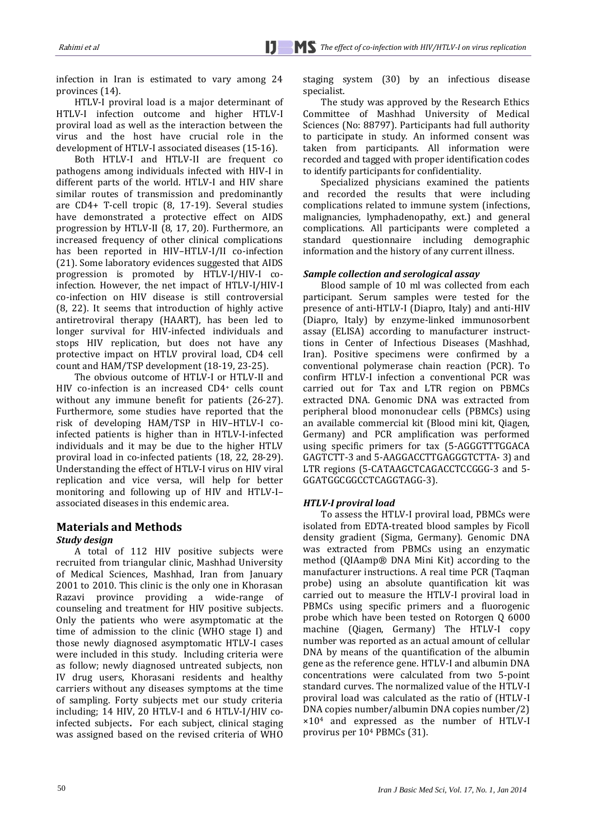Ì

infection in Iran is estimated to vary among 24 provinces (14).

HTLV-I proviral load is a major determinant of HTLV-I infection outcome and higher HTLV-I proviral load as well as the interaction between the virus and the host have crucial role in the development of HTLV-I associated diseases (15-16).

Both HTLV-I and HTLV-II are frequent co pathogens among individuals infected with HIV-I in different parts of the world. HTLV-I and HIV share similar routes of transmission and predominantly are CD4+ T-cell tropic (8, 17-19). Several studies have demonstrated a protective effect on AIDS progression by HTLV-II (8, 17, 20). Furthermore*,* an increased frequency of other clinical complications has been reported in HIV–HTLV-I/II co-infection (21). Some laboratory evidences suggested that AIDS progression is promoted by HTLV-I/HIV-I coinfection. However, the net impact of HTLV-I/HIV-I co-infection on HIV disease is still controversial (8, 22). It seems that introduction of highly active antiretroviral therapy (HAART), has been led to longer survival for HIV-infected individuals and stops HIV replication, but does not have any protective impact on HTLV proviral load, CD4 cell count and HAM/TSP development (18-19, 23-25).

The obvious outcome of HTLV-I or HTLV-II and HIV co-infection is an increased CD4<sup>+</sup> cells count without any immune benefit for patients (26-27). Furthermore, some studies have reported that the risk of developing HAM/TSP in HIV–HTLV-I coinfected patients is higher than in HTLV-I-infected individuals and it may be due to the higher HTLV proviral load in co-infected patients (18, 22, 28-29). Understanding the effect of HTLV-I virus on HIV viral replication and vice versa, will help for better monitoring and following up of HIV and HTLV-I– associated diseases in this endemic area.

## **Materials and Methods**

#### *Study design*

A total of 112 HIV positive subjects were recruited from triangular clinic, Mashhad University of Medical Sciences, Mashhad, Iran from January 2001 to 2010. This clinic is the only one in Khorasan Razavi province providing a wide-range of counseling and treatment for HIV positive subjects. Only the patients who were asymptomatic at the time of admission to the clinic (WHO stage I) and those newly diagnosed asymptomatic HTLV-I cases were included in this study. Including criteria were as follow; newly diagnosed untreated subjects, non IV drug users, Khorasani residents and healthy carriers without any diseases symptoms at the time of sampling. Forty subjects met our study criteria including; 14 HIV, 20 HTLV-I and 6 HTLV-I/HIV coinfected subjects**.** For each subject, clinical staging was assigned based on the revised criteria of WHO staging system (30) by an infectious disease specialist.

The study was approved by the Research Ethics Committee of Mashhad University of Medical Sciences (No: 88797). Participants had full authority to participate in study. An informed consent was taken from participants. All information were recorded and tagged with proper identification codes to identify participants for confidentiality.

Specialized physicians examined the patients and recorded the results that were including complications related to immune system (infections, malignancies*,* lymphadenopathy, ext.) and general complications. All participants were completed a standard questionnaire including demographic information and the history of any current illness.

### *Sample collection and serological assay*

Blood sample of 10 ml was collected from each participant. Serum samples were tested for the presence of anti-HTLV-I (Diapro, Italy) and anti-HIV (Diapro, Italy) by enzyme-linked immunosorbent assay (ELISA) according to manufacturer instructtions in Center of Infectious Diseases (Mashhad, Iran). Positive specimens were confirmed by a conventional polymerase chain reaction (PCR). To confirm HTLV-I infection a conventional PCR was carried out for Tax and LTR region on PBMCs extracted DNA. Genomic DNA was extracted from peripheral blood mononuclear cells (PBMCs) using an available commercial kit (Blood mini kit, Qiagen, Germany) and PCR amplification was performed using specific primers for tax (5-AGGGTTTGGACA GAGTCTT-3 and 5-AAGGACCTTGAGGGTCTTA- 3) and LTR regions (5-CATAAGCTCAGACCTCCGGG-3 and 5- GGATGGCGGCCTCAGGTAGG-3).

#### *HTLV-I proviral load*

To assess the HTLV-I proviral load, PBMCs were isolated from EDTA-treated blood samples by Ficoll density gradient (Sigma, Germany). Genomic DNA was extracted from PBMCs using an enzymatic method (QIAamp® DNA Mini Kit) according to the manufacturer instructions. A real time PCR (Taqman probe) using an absolute quantification kit was carried out to measure the HTLV-I proviral load in PBMCs using specific primers and a fluorogenic probe which have been tested on Rotorgen Q 6000 machine (Qiagen, Germany) The HTLV-I copy number was reported as an actual amount of cellular DNA by means of the quantification of the albumin gene as the reference gene. HTLV-I and albumin DNA concentrations were calculated from two 5-point standard curves. The normalized value of the HTLV-I proviral load was calculated as the ratio of (HTLV-I DNA copies number/albumin DNA copies number/2) ×10<sup>4</sup> and expressed as the number of HTLV-I provirus per 10<sup>4</sup> PBMCs (31).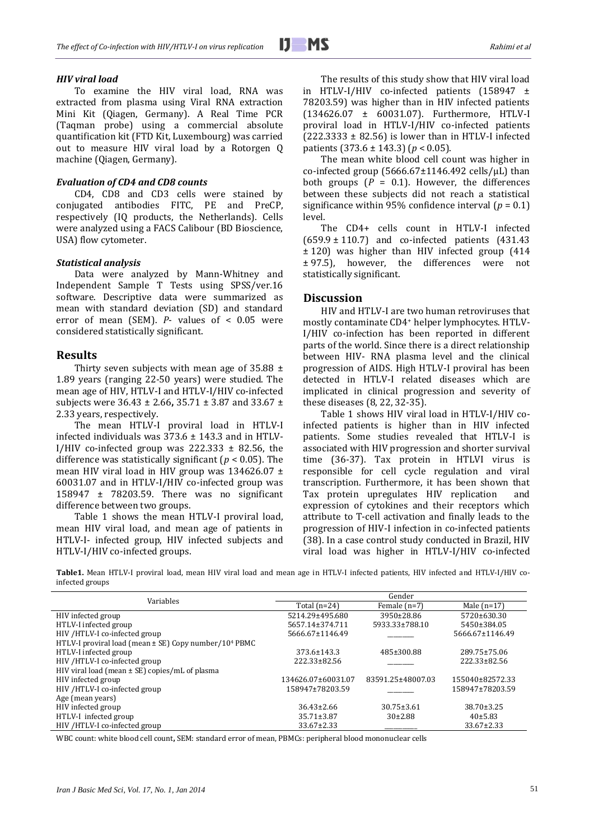#### *HIV viral load*

To examine the HIV viral load, RNA was extracted from plasma using Viral RNA extraction Mini Kit (Qiagen, Germany). A Real Time PCR (Taqman probe) using a commercial absolute quantification kit (FTD Kit, Luxembourg) was carried out to measure HIV viral load by a Rotorgen Q machine (Qiagen, Germany).

### *Evaluation of CD4 and CD8 counts*

CD4, CD8 and CD3 cells were stained by conjugated antibodies FITC, PE and PreCP, respectively (IQ products, the Netherlands). Cells were analyzed using a FACS Calibour (BD Bioscience, USA) flow cytometer.

#### *Statistical analysis*

Data were analyzed by Mann-Whitney and Independent Sample T Tests using SPSS/ver.16 software. Descriptive data were summarized as mean with standard deviation (SD) and standard error of mean (SEM). *P*- values of < 0.05 were considered statistically significant.

#### **Results**

Thirty seven subjects with mean age of  $35.88 \pm$ 1.89 years (ranging 22-50 years) were studied. The mean age of HIV, HTLV-I and HTLV-I/HIV co-infected subjects were 36.43 ± 2.66**,** 35.71 ± 3.87 and 33.67 ± 2.33 years, respectively.

The mean HTLV-I proviral load in HTLV-I infected individuals was 373.6 ± 143.3 and in HTLV-I/HIV co-infected group was  $222.333 \pm 82.56$ , the difference was statistically significant (*p* < 0.05). The mean HIV viral load in HIV group was 134626.07 ± 60031.07 and in HTLV-I/HIV co-infected group was 158947 ± 78203.59. There was no significant difference between two groups.

Table 1 shows the mean HTLV-I proviral load, mean HIV viral load, and mean age of patients in HTLV-I- infected group, HIV infected subjects and HTLV-I/HIV co-infected groups.

The results of this study show that HIV viral load in HTLV-I/HIV co-infected patients (158947 ± 78203.59) was higher than in HIV infected patients (134626.07 ± 60031.07). Furthermore, HTLV-I proviral load in HTLV-I/HIV co-infected patients  $(222.3333 \pm 82.56)$  is lower than in HTLV-I infected patients (373.6 ± 143.3) (*p* < 0.05).

The mean white blood cell count was higher in co-infected group  $(5666.67 \pm 1146.492 \text{ cells/µL})$  than both groups  $(P = 0.1)$ . However, the differences between these subjects did not reach a statistical significance within 95% confidence interval  $(p = 0.1)$ level.

The CD4+ cells count in HTLV-I infected (659.9 ± 110.7) and co-infected patients (431.43 ± 120) was higher than HIV infected group (414 ± 97.5), however, the differences were not statistically significant.

#### **Discussion**

HIV and HTLV-I are two human retroviruses that mostly contaminate CD4<sup>+</sup> helper lymphocytes. HTLV-I/HIV co-infection has been reported in different parts of the world. Since there is a direct relationship between HIV- RNA plasma level and the clinical progression of AIDS. High HTLV-I proviral has been detected in HTLV-I related diseases which are implicated in clinical progression and severity of these diseases (8, 22, 32-35).

Table 1 shows HIV viral load in HTLV-I/HIV coinfected patients is higher than in HIV infected patients. Some studies revealed that HTLV-I is associated with HIV progression and shorter survival time (36-37). Tax protein in HTLVI virus is responsible for cell cycle regulation and viral transcription. Furthermore, it has been shown that Tax protein upregulates HIV replication and expression of cytokines and their receptors which attribute to T-cell activation and finally leads to the progression of HIV-I infection in co-infected patients (38). In a case control study conducted in Brazil, HIV viral load was higher in HTLV-I/HIV co-infected

**Table1.** Mean HTLV-I proviral load, mean HIV viral load and mean age in HTLV-I infected patients, HIV infected and HTLV-I/HIV coinfected groups

| Variables                                                             | Gender             |                   |                  |
|-----------------------------------------------------------------------|--------------------|-------------------|------------------|
|                                                                       | Total $(n=24)$     | Female $(n=7)$    | Male $(n=17)$    |
| HIV infected group                                                    | 5214.29±495.680    | 3950±28.86        | 5720±630.30      |
| HTLV-I infected group                                                 | 5657.14±374.711    | 5933.33±788.10    | 5450±384.05      |
| HIV /HTLV-I co-infected group                                         | 5666.67±1146.49    |                   | 5666.67±1146.49  |
| HTLV-I proviral load (mean $\pm$ SE) Copy number/10 <sup>4</sup> PBMC |                    |                   |                  |
| HTLV-I infected group                                                 | 373.6±143.3        | 485±300.88        | 289.75±75.06     |
| HIV /HTLV-I co-infected group                                         | 222.33±82.56       |                   | 222.33±82.56     |
| HIV viral load (mean $\pm$ SE) copies/mL of plasma                    |                    |                   |                  |
| HIV infected group                                                    | 134626.07±60031.07 | 83591.25±48007.03 | 155040±82572.33  |
| HIV /HTLV-I co-infected group                                         | 158947±78203.59    |                   | 158947±78203.59  |
| Age (mean years)                                                      |                    |                   |                  |
| HIV infected group                                                    | $36.43 \pm 2.66$   | $30.75 \pm 3.61$  | $38.70 \pm 3.25$ |
| HTLV-I infected group                                                 | $35.71 \pm 3.87$   | $30\pm2.88$       | 40±5.83          |
| HIV /HTLV-I co-infected group                                         | $33.67 \pm 2.33$   |                   | $33.67 \pm 2.33$ |

WBC count: white blood cell count**,** SEM: standard error of mean, PBMCs: peripheral blood mononuclear cells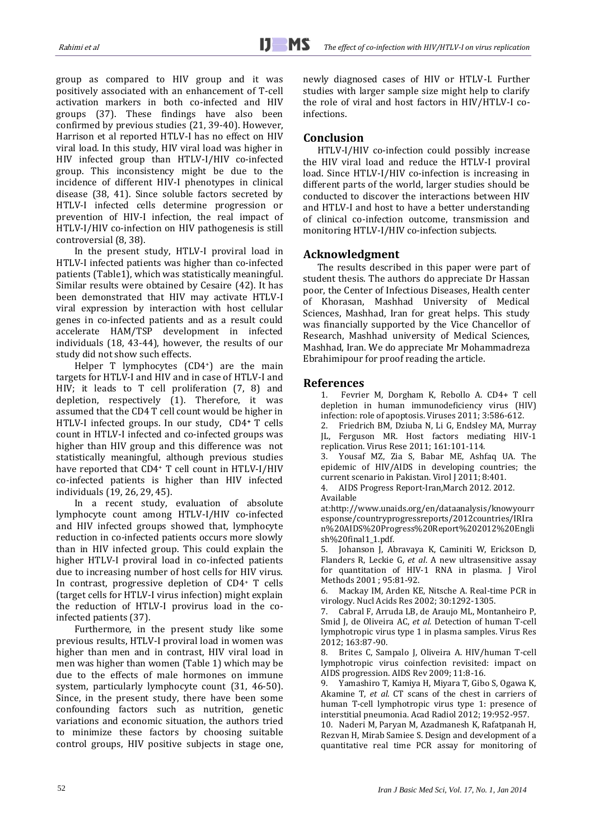group as compared to HIV group and it was positively associated with an enhancement of T-cell activation markers in both co-infected and HIV groups (37). These findings have also been confirmed by previous studies (21, 39-40). However, Harrison et al reported HTLV-I has no effect on HIV viral load. In this study, HIV viral load was higher in HIV infected group than HTLV-I/HIV co-infected group. This inconsistency might be due to the incidence of different HIV-I phenotypes in clinical disease (38, 41). Since soluble factors secreted by HTLV-I infected cells determine progression or prevention of HIV-I infection, the real impact of HTLV-I/HIV co-infection on HIV pathogenesis is still controversial (8, 38).

In the present study, HTLV-I proviral load in HTLV-I infected patients was higher than co-infected patients (Table1), which was statistically meaningful. Similar results were obtained by Cesaire (42). It has been demonstrated that HIV may activate HTLV-I viral expression by interaction with host cellular genes in co-infected patients and as a result could accelerate HAM/TSP development in infected individuals (18, 43-44), however, the results of our study did not show such effects.

Helper T lymphocytes (CD4<sup>+</sup>) are the main targets for HTLV-I and HIV and in case of HTLV-I and HIV; it leads to T cell proliferation (7, 8) and depletion, respectively (1). Therefore, it was assumed that the CD4 T cell count would be higher in HTLV-I infected groups. In our study, CD4**<sup>+</sup>** T cells count in HTLV-I infected and co-infected groups was higher than HIV group and this difference was not statistically meaningful, although previous studies have reported that CD4<sup>+</sup> T cell count in HTLV-I/HIV co-infected patients is higher than HIV infected individuals (19, 26, 29, 45).

In a recent study, evaluation of absolute lymphocyte count among HTLV-I/HIV co-infected and HIV infected groups showed that, lymphocyte reduction in co-infected patients occurs more slowly than in HIV infected group. This could explain the higher HTLV-I proviral load in co-infected patients due to increasing number of host cells for HIV virus. In contrast, progressive depletion of CD4<sup>+</sup> T cells (target cells for HTLV-I virus infection) might explain the reduction of HTLV-I provirus load in the coinfected patients (37).

Furthermore, in the present study like some previous results, HTLV-I proviral load in women was higher than men and in contrast, HIV viral load in men was higher than women (Table 1) which may be due to the effects of male hormones on immune system, particularly lymphocyte count (31, 46-50). Since, in the present study, there have been some confounding factors such as nutrition, genetic variations and economic situation, the authors tried to minimize these factors by choosing suitable control groups, HIV positive subjects in stage one, newly diagnosed cases of HIV or HTLV-I. Further studies with larger sample size might help to clarify the role of viral and host factors in HIV/HTLV-I coinfections.

## **Conclusion**

j

HTLV-I/HIV co-infection could possibly increase the HIV viral load and reduce the HTLV-I proviral load. Since HTLV-I/HIV co-infection is increasing in different parts of the world, larger studies should be conducted to discover the interactions between HIV and HTLV-I and host to have a better understanding of clinical co-infection outcome, transmission and monitoring HTLV-I/HIV co-infection subjects.

## **Acknowledgment**

The results described in this paper were part of student thesis. The authors do appreciate Dr Hassan poor, the Center of Infectious Diseases, Health center of Khorasan, Mashhad University of Medical Sciences, Mashhad, Iran for great helps. This study was financially supported by the Vice Chancellor of Research, Mashhad university of Medical Sciences, Mashhad, Iran. We do appreciate Mr Mohammadreza Ebrahimipour for proof reading the article.

## **References**

<span id="page-3-0"></span>1. Fevrier M, Dorgham K, Rebollo A. CD4+ T cell depletion in human immunodeficiency virus (HIV) infection: role of apoptosis. Viruses 2011; 3:586-612.

2. Friedrich BM, Dziuba N, Li G, Endsley MA, Murray JL, Ferguson MR. Host factors mediating HIV-1 replication. Virus Rese 2011; 161:101-114.

3. Yousaf MZ, Zia S, Babar ME, Ashfaq UA. The epidemic of HIV/AIDS in developing countries; the current scenario in Pakistan. Virol J 2011; 8:401.

4. AIDS Progress Report-Iran,March 2012. 2012. Available

at:http://www.unaids.org/en/dataanalysis/knowyourr esponse/countryprogressreports/2012countries/IRIra n%20AIDS%20Progress%20Report%202012%20Engli sh%20final1\_1.pdf.

5. Johanson J, Abravaya K, Caminiti W, Erickson D, Flanders R, Leckie G, *et al*. A new ultrasensitive assay for quantitation of HIV-1 RNA in plasma. J Virol Methods 2001 ; 95:81-92.

6. Mackay IM, Arden KE, Nitsche A. Real-time PCR in virology. Nucl Acids Res 2002; 30:1292-1305.

7. Cabral F, Arruda LB, de Araujo ML, Montanheiro P, Smid J, de Oliveira AC, *et al.* Detection of human T-cell lymphotropic virus type 1 in plasma samples. Virus Res 2012; 163:87-90.

8. Brites C, Sampalo J, Oliveira A. HIV/human T-cell lymphotropic virus coinfection revisited: impact on AIDS progression. AIDS Rev 2009; 11:8-16.

9. Yamashiro T, Kamiya H, Miyara T, Gibo S, Ogawa K, Akamine T, *et al*. CT scans of the chest in carriers of human T-cell lymphotropic virus type 1: presence of interstitial pneumonia. Acad Radiol 2012; 19:952-957.

10. Naderi M, Paryan M, Azadmanesh K, Rafatpanah H, Rezvan H, Mirab Samiee S. Design and development of a quantitative real time PCR assay for monitoring of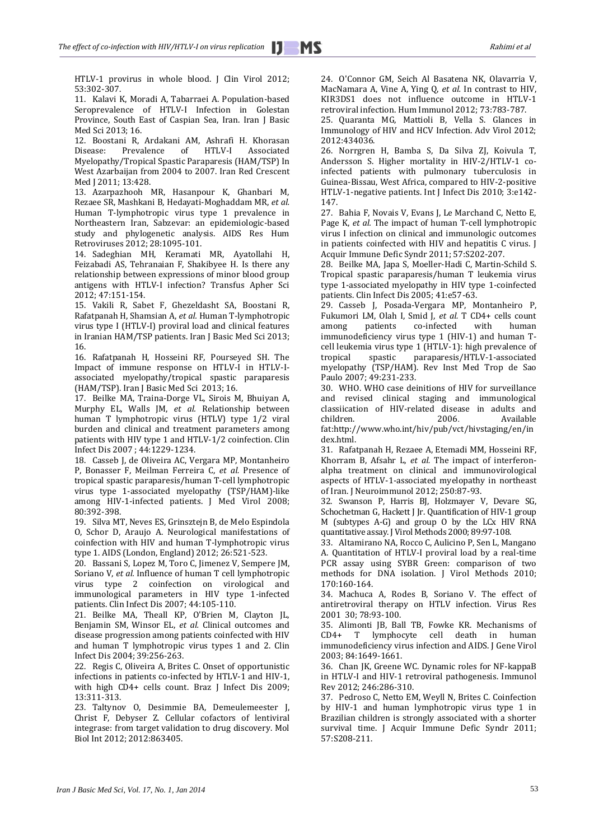HTLV-1 provirus in whole blood. J Clin Virol 2012; 53:302-307.

11. Kalavi K, Moradi A, Tabarraei A. Population-based Seroprevalence of HTLV-I Infection in Golestan Province, South East of Caspian Sea, Iran. Iran J Basic Med Sci 2013; 16.

12. Boostani R, Ardakani AM, Ashrafi H. Khorasan<br>Disease: Prevalence of HTLV-I Associated Disease: Prevalence of HTLV-I Associated Myelopathy/Tropical Spastic Paraparesis (HAM/TSP) In West Azarbaijan from 2004 to 2007. Iran Red Crescent Med J 2011; 13:428.

13. Azarpazhooh MR, Hasanpour K, Ghanbari M, Rezaee SR, Mashkani B, Hedayati-Moghaddam MR, *et al.* Human T-lymphotropic virus type 1 prevalence in Northeastern Iran, Sabzevar: an epidemiologic-based study and phylogenetic analysis. AIDS Res Hum Retroviruses 2012; 28:1095-101.

14. Sadeghian MH, Keramati MR, Ayatollahi H, Feizabadi AS, Tehranaian F, Shakibyee H. Is there any relationship between expressions of minor blood group antigens with HTLV-I infection? Transfus Apher Sci 2012; 47:151-154.

15. Vakili R, Sabet F, Ghezeldasht SA, Boostani R, Rafatpanah H, Shamsian A, *et al.* Human T-lymphotropic virus type I (HTLV-I) proviral load and clinical features in Iranian HAM/TSP patients. Iran J Basic Med Sci 2013; 16.

16. Rafatpanah H, Hosseini RF, Pourseyed SH. The Impact of immune response on HTLV-I in HTLV-Iassociated myelopathy/tropical spastic paraparesis (HAM/TSP). Iran J Basic Med Sci 2013; 16.

17. Beilke MA, Traina-Dorge VL, Sirois M, Bhuiyan A, Murphy EL, Walls JM, *et al.* Relationship between human T lymphotropic virus (HTLV) type 1/2 viral burden and clinical and treatment parameters among patients with HIV type 1 and HTLV-1/2 coinfection. Clin Infect Dis 2007 ; 44:1229-1234.

18. Casseb J, de Oliveira AC, Vergara MP, Montanheiro P, Bonasser F, Meilman Ferreira C, *et al.* Presence of tropical spastic paraparesis/human T-cell lymphotropic virus type 1-associated myelopathy (TSP/HAM)-like among HIV-1-infected patients. J Med Virol 2008; 80:392-398.

19. Silva MT, Neves ES, Grinsztejn B, de Melo Espindola O, Schor D, Araujo A. Neurological manifestations of coinfection with HIV and human T-lymphotropic virus type 1. AIDS (London, England) 2012; 26:521-523.

20. Bassani S, Lopez M, Toro C, Jimenez V, Sempere JM, Soriano V, *et al.* Influence of human T cell lymphotropic virus type 2 coinfection on virological and immunological parameters in HIV type 1-infected patients. Clin Infect Dis 2007; 44:105-110.

21. Beilke MA, Theall KP, O'Brien M, Clayton JL, Benjamin SM, Winsor EL, *et al.* Clinical outcomes and disease progression among patients coinfected with HIV and human T lymphotropic virus types 1 and 2. Clin Infect Dis 2004; 39:256-263.

22. Regis C, Oliveira A, Brites C. Onset of opportunistic infections in patients co-infected by HTLV-1 and HIV-1, with high CD4+ cells count. Braz J Infect Dis 2009; 13:311-313.

23. Taltynov O, Desimmie BA, Demeulemeester J, Christ F, Debyser Z. Cellular cofactors of lentiviral integrase: from target validation to drug discovery. Mol Biol Int 2012; 2012:863405.

24. O'Connor GM, Seich Al Basatena NK, Olavarria V, MacNamara A, Vine A, Ying Q, *et al.* In contrast to HIV, KIR3DS1 does not influence outcome in HTLV-1 retroviral infection. Hum Immunol 2012; 73:783-787.

25. Quaranta MG, Mattioli B, Vella S. Glances in Immunology of HIV and HCV Infection. Adv Virol 2012; 2012:434036.

26. Norrgren H, Bamba S, Da Silva ZJ, Koivula T, Andersson S. Higher mortality in HIV-2/HTLV-1 coinfected patients with pulmonary tuberculosis in Guinea-Bissau, West Africa, compared to HIV-2-positive HTLV-1-negative patients. Int J Infect Dis 2010; 3:e142- 147.

27. Bahia F, Novais V, Evans J, Le Marchand C, Netto E, Page K, *et al.* The impact of human T-cell lymphotropic virus I infection on clinical and immunologic outcomes in patients coinfected with HIV and hepatitis C virus. J Acquir Immune Defic Syndr 2011; 57:S202-207.

28. Beilke MA, Japa S, Moeller-Hadi C, Martin-Schild S. Tropical spastic paraparesis/human T leukemia virus type 1-associated myelopathy in HIV type 1-coinfected patients. Clin Infect Dis 2005; 41:e57-63.

29. Casseb J, Posada-Vergara MP, Montanheiro P, Fukumori LM, Olah I, Smid J, et al. T CD4+ cells count among patients co-infected with human among patients co-infected with immunodeficiency virus type 1 (HIV-1) and human Tcell leukemia virus type 1 (HTLV-1): high prevalence of tropical spastic paraparesis/HTLV-1-associated myelopathy (TSP/HAM). Rev Inst Med Trop de Sao Paulo 2007; 49:231-233.

30. WHO. WHO case deinitions of HIV for surveillance and revised clinical staging and immunological classiication of HIV-related disease in adults and children. 2006. Available fa[t:http://www.who.int/hiv/pub/vct/hivstaging/en/in](http://www.who.int/hiv/pub/vct/hivstaging/en/index.html) [dex.html.](http://www.who.int/hiv/pub/vct/hivstaging/en/index.html)

31. Rafatpanah H, Rezaee A, Etemadi MM, Hosseini RF, Khorram B, Afsahr L, *et al.* The impact of interferonalpha treatment on clinical and immunovirological aspects of HTLV-1-associated myelopathy in northeast of Iran. J Neuroimmunol 2012; 250:87-93.

32. Swanson P, Harris BJ, Holzmayer V, Devare SG, Schochetman G, Hackett J Jr. Quantification of HIV-1 group M (subtypes A-G) and group O by the LCx HIV RNA quantitative assay. J Virol Methods 2000; 89:97-108.

33. Altamirano NA, Rocco C, Aulicino P, Sen L, Mangano A. Quantitation of HTLV-I proviral load by a real-time PCR assay using SYBR Green: comparison of two methods for DNA isolation. J Virol Methods 2010; 170:160-164.

34. Machuca A, Rodes B, Soriano V. The effect of antiretroviral therapy on HTLV infection. Virus Res 2001 30; 78:93-100.

35. Alimonti JB, Ball TB, Fowke KR. Mechanisms of CD4+ T lymphocyte cell death in human immunodeficiency virus infection and AIDS. J Gene Virol 2003; 84:1649-1661.

36. Chan JK, Greene WC. Dynamic roles for NF-kappaB in HTLV-I and HIV-1 retroviral pathogenesis. Immunol Rev 2012; 246:286-310.

37. Pedroso C, Netto EM, Weyll N, Brites C. Coinfection by HIV-1 and human lymphotropic virus type 1 in Brazilian children is strongly associated with a shorter survival time. J Acquir Immune Defic Syndr 2011; 57:S208-211.